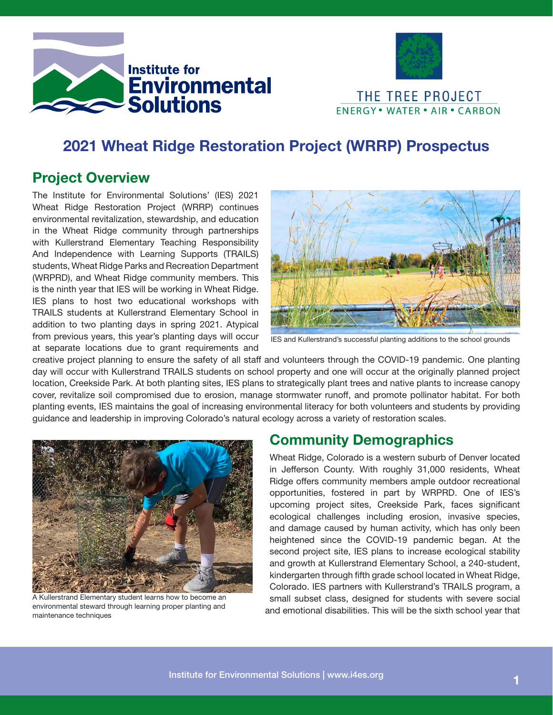



# 2021 Wheat Ridge Restoration Project (WRRP) Prospectus

### Project Overview

The Institute for Environmental Solutions' (IES) 2021 Wheat Ridge Restoration Project (WRRP) continues environmental revitalization, stewardship, and education in the Wheat Ridge community through partnerships with Kullerstrand Elementary Teaching Responsibility And Independence with Learning Supports (TRAILS) students, Wheat Ridge Parks and Recreation Department (WRPRD), and Wheat Ridge community members. This is the ninth year that IES will be working in Wheat Ridge. IES plans to host two educational workshops with TRAILS students at Kullerstrand Elementary School in addition to two planting days in spring 2021. Atypical from previous years, this year's planting days will occur at separate locations due to grant requirements and



IES and Kullerstrand's successful planting additions to the school grounds

creative project planning to ensure the safety of all staff and volunteers through the COVID-19 pandemic. One planting day will occur with Kullerstrand TRAILS students on school property and one will occur at the originally planned project location, Creekside Park. At both planting sites, IES plans to strategically plant trees and native plants to increase canopy cover, revitalize soil compromised due to erosion, manage stormwater runoff, and promote pollinator habitat. For both planting events, IES maintains the goal of increasing environmental literacy for both volunteers and students by providing guidance and leadership in improving Colorado's natural ecology across a variety of restoration scales.



A Kullerstrand Elementary student learns how to become an environmental steward through learning proper planting and maintenance techniques

#### Community Demographics

Wheat Ridge, Colorado is a western suburb of Denver located in Jefferson County. With roughly 31,000 residents, Wheat Ridge offers community members ample outdoor recreational opportunities, fostered in part by WRPRD. One of IES's upcoming project sites, Creekside Park, faces significant ecological challenges including erosion, invasive species, and damage caused by human activity, which has only been heightened since the COVID-19 pandemic began. At the second project site, IES plans to increase ecological stability and growth at Kullerstrand Elementary School, a 240-student, kindergarten through fifth grade school located in Wheat Ridge, Colorado. IES partners with Kullerstrand's TRAILS program, a small subset class, designed for students with severe social and emotional disabilities. This will be the sixth school year that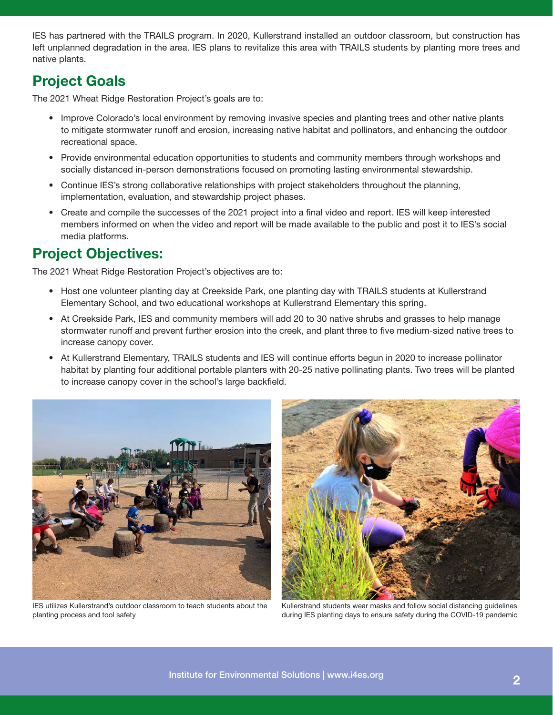IES has partnered with the TRAILS program. In 2020, Kullerstrand installed an outdoor classroom, but construction has left unplanned degradation in the area. IES plans to revitalize this area with TRAILS students by planting more trees and native plants.

## Project Goals

The 2021 Wheat Ridge Restoration Project's goals are to:

- Improve Colorado's local environment by removing invasive species and planting trees and other native plants to mitigate stormwater runoff and erosion, increasing native habitat and pollinators, and enhancing the outdoor recreational space.
- Provide environmental education opportunities to students and community members through workshops and socially distanced in-person demonstrations focused on promoting lasting environmental stewardship.
- Continue IES's strong collaborative relationships with project stakeholders throughout the planning, implementation, evaluation, and stewardship project phases.
- Create and compile the successes of the 2021 project into a final video and report. IES will keep interested members informed on when the video and report will be made available to the public and post it to IES's social media platforms.

## Project Objectives:

The 2021 Wheat Ridge Restoration Project's objectives are to:

- Host one volunteer planting day at Creekside Park, one planting day with TRAILS students at Kullerstrand Elementary School, and two educational workshops at Kullerstrand Elementary this spring.
- At Creekside Park, IES and community members will add 20 to 30 native shrubs and grasses to help manage stormwater runoff and prevent further erosion into the creek, and plant three to five medium-sized native trees to increase canopy cover.
- At Kullerstrand Elementary, TRAILS students and IES will continue efforts begun in 2020 to increase pollinator habitat by planting four additional portable planters with 20-25 native pollinating plants. Two trees will be planted to increase canopy cover in the school's large backfield.



IES utilizes Kullerstrand's outdoor classroom to teach students about the planting process and tool safety



Kullerstrand students wear masks and follow social distancing guidelines during IES planting days to ensure safety during the COVID-19 pandemic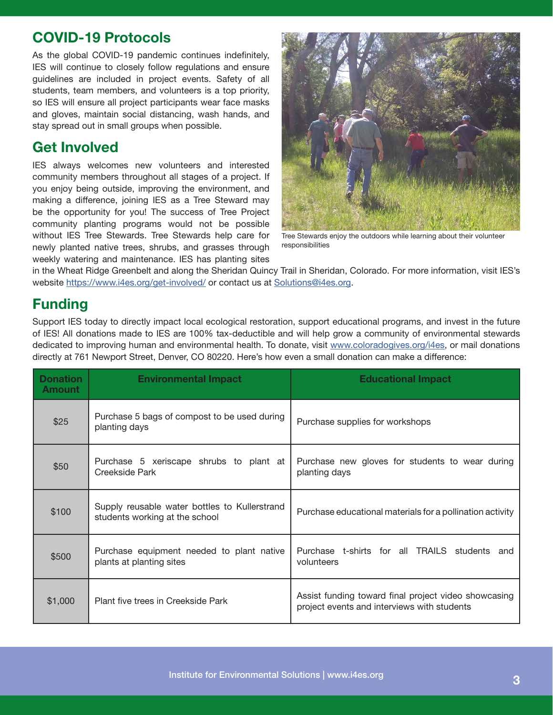### COVID-19 Protocols

As the global COVID-19 pandemic continues indefinitely, IES will continue to closely follow regulations and ensure guidelines are included in project events. Safety of all students, team members, and volunteers is a top priority, so IES will ensure all project participants wear face masks and gloves, maintain social distancing, wash hands, and stay spread out in small groups when possible.

#### Get Involved

IES always welcomes new volunteers and interested community members throughout all stages of a project. If you enjoy being outside, improving the environment, and making a difference, joining IES as a Tree Steward may be the opportunity for you! The success of Tree Project community planting programs would not be possible without IES Tree Stewards. Tree Stewards help care for newly planted native trees, shrubs, and grasses through weekly watering and maintenance. IES has planting sites



Tree Stewards enjoy the outdoors while learning about their volunteer responsibilities

in the Wheat Ridge Greenbelt and along the Sheridan Quincy Trail in Sheridan, Colorado. For more information, visit IES's website https://www.i4es.org/get-involved/ or contact us at Solutions@i4es.org.

### Funding

Support IES today to directly impact local ecological restoration, support educational programs, and invest in the future of IES! All donations made to IES are 100% tax-deductible and will help grow a community of environmental stewards dedicated to improving human and environmental health. To donate, visit www.coloradogives.org/i4es, or mail donations directly at 761 Newport Street, Denver, CO 80220. Here's how even a small donation can make a difference:

| <b>Donation</b><br><b>Amount</b> | <b>Environmental Impact</b>                                                     | <b>Educational Impact</b>                                                                           |
|----------------------------------|---------------------------------------------------------------------------------|-----------------------------------------------------------------------------------------------------|
| \$25                             | Purchase 5 bags of compost to be used during<br>planting days                   | Purchase supplies for workshops                                                                     |
| \$50                             | Purchase 5 xeriscape shrubs to plant at<br>Creekside Park                       | Purchase new gloves for students to wear during<br>planting days                                    |
| \$100                            | Supply reusable water bottles to Kullerstrand<br>students working at the school | Purchase educational materials for a pollination activity                                           |
| \$500                            | Purchase equipment needed to plant native<br>plants at planting sites           | Purchase t-shirts for all TRAILS students<br>and<br>volunteers                                      |
| \$1,000                          | Plant five trees in Creekside Park                                              | Assist funding toward final project video showcasing<br>project events and interviews with students |